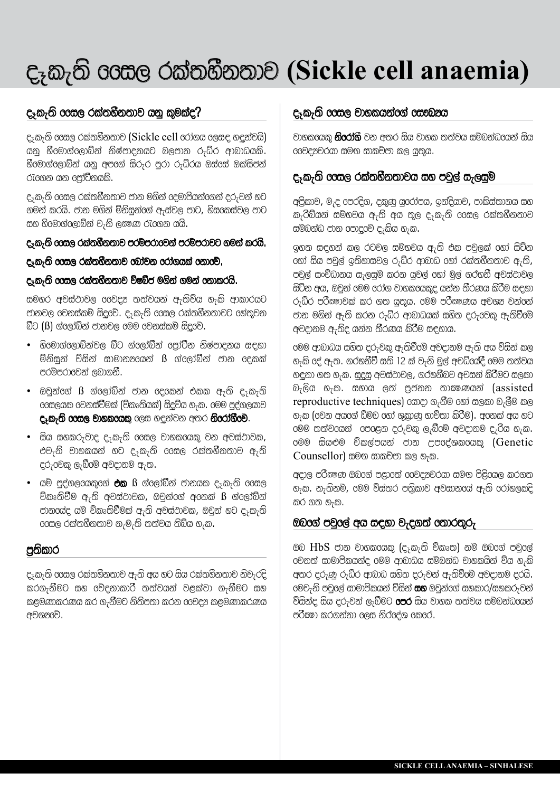# q\$k#wQ @@sl rk~whWnw`v **(Sickle cell anaemia)**

# දෑකැති coසල රක්තහීනතාව යනු කුමක්ද?

q\$k#wQ @@sl rk~whWnw`v (Sickle cell @r`~gy @ls[ h[En~vyQ) යනු හීමොග්ලොබ්න් නිෂ්පාදනයට බලපාන රුධ්ර ආබාධයකි.  $60$ මාග්ලොබ්න් යනු අපගේ සිරුර පුරා රුධ්රය ඔස්සේ ඔක්සිජන් රැගෙන යන පෝට්නයකි.

ද<sub>ි</sub>කැති oසෙල රක්තහීනතාව ජාන මගින් දෙමාපියන්ගෙන් දරුවන් හට ගමන් කරයි. ජාන මගින් ම්නිසුන්රග් ඇස්වල පාට, හිසයකස්වල පාට සහ හිරමාග්රලාබ්න් වැනි ලකුණ රැගෙන යයි.

#### q\$k#wQ @@sl rk~whWnw`v prm|pr`@vn~ prm|pr`vt gmn~ kryQ.

q\$k#wQ @@sl rk~whWnw`v @b`~vn @r`~gyk~ @n`@v|.

#### q\$k#wQ @@sl rk~whWnw`v vQ;bWj mgQn~ gmn~ @n`kryQ.

සමහර අවස්ථාවල 60වදූ තත්වයන් ඇතිව්ය හැකි ආකාරයට ජානවල රවනස්කම් සිදුවේ. ද ${}_{i}$ කැති රෙසල රක්තහීනතාවට රහ්තුවන  $\bar{a}$ ට ( $\beta$ ) ග්ලෝබ්න් ජානවල මෙම වෙනස්කම් සිදුවේ.

- $\overline{6}$ 0මාග්ලොබ්න්වල බීට ග්ලෝබීන් ලෝටීන නිෂ්පාදනය සඳහා ම්නිසුන් ව්සින් සාමාන $a$ යෙන්  $\beta$  ග්ලෝබීන් ජාන දෙකක් පරම්පරාවෙන් ලබාගනී.
- ඔවුන්ගේ  $\beta$  ග්ලෝබ්න් ජාන දෙකෙන් එකක ඇති ද ${}_{7}$ කැති  $\cos$ ලයක වෙනස්වීමක් (ව්කෘතියක්) සිදුව්ය හැක. මෙම පුද්ගලයාව දෑකැති coසල වාහකරයකු ලෙස හඳුන්වන අතර නිරෝගීීම.
- $\bullet$  සිය සහකරුවාද ද ${}_{7}$ කැති රෙසල වාහකරයකු වන අවස්ථාවක, ev#nQ v`hkyn~ ht q\$k#wQ @@sl rk~whWnw`v a#wQ  $c$ රුවෙකු ලැබීමේ අවදානම ඇත.
- $\bullet$  යම් පුද්ගලයකුගේ **එක**  $\boldsymbol{\mathrm{B}}$  ග්ලෝබීන් ජානයක ද<sub>ැ</sub>කැති ගෙසල ව්කෘතිවීම ඇති අවස්ථාවක, ඔවුන්ගේ අනෙක්  $\beta$  ග්ලෝබ්න් ජානගේද යම් ව්කෘතිවීමක් ඇති අවස්ථාවක, ඔවුන් හට ද ${}_{\bar{x}}$ කැති  $\cos$ ල රක්තහීනතාව නැමැති තත්වය තිබ්ය හැක.

### පුතිකාර

ද<sub>ැ</sub>කැති ooසල රක්තහීනතාව ඇති අය හට සිය රක්තහීනතාව නිවැරදි කරගැනීමට සහ රව්දනාකාරී තත්වයන් වළක්වා ගැනීමට සහ කළමණාකරණය කර ගැනීමට නිතිපතා කරන 66වදූ කළමණාකරණය අවශූරවි.

## q\$k#wQ @@sl v`hkyn~@g~ @s\_K&y

වාහකගෙක **නිරෝගී** වන අතර සිය වාහක තත්වය සම්බන්ධගෙන් සිය 00වදූවරයා සමග සාකච්ජා කල යුතුය.

## q\$k#wQ @@sl rk~whWnw`vy sh pvEl~ s#lsEm|

අලිකාව, මැද පෙරදිග, දකුණු යුරෝපය, ඉන්දියාව, පාකිස්තානය සහ k#rQbQyn~ sm|xvy a#wQ ay wOl q\$k#wQ @@sl rk~whWnw`v සම්බන්ධ ජාන පොදුවේ ද $_{7}$ කිය හ $_{7}$ ක.

 $9$ හත සඳහන් කල රටවල සමිභවය ඇති එක පවුලක් රහා් සිට්න  $\sigma$ ගා් සිය පවුල් ඉතිහාසවල රුධ්ර ආබාධ හෝ රක්තහීනතාව ඇති, පවුල් සංව්ධානය සැලසුම් කරන යුවල් oහා මුල් ගරහනී අවස්ථාවල සිට්න අය, ඔවුන් මෙම රෝග වාහකයෙකුද යන්න තීරණය කිරීම සඳහා රුධ්ර පරීඃෂාවක් කර ගත යුතුය. මෙම පරීඃෂණය අවශන වන්නේ ජාන මගින් ඇති කරන රුධ්ර ආබාධයක් සහිත දරුවෙකු ඇතිවීමේ අවදානම ඇතිද යන්න තීරණය කිරීම සඳහාය.

@ම ආබාධය සහිත දරුවකු ඇතිවීමේ අවදානම ඇති අය ව්සින් කල හැකි දේ ඇත. ගරහනීවී සති 12 ක් වැනි මුල් අවධ්යේදී මෙම තත්වය හඳුනා ගත හැක. සුදුසු අවස්ථාවල, ගරහනීබව අවසන් කිරීමට සලකා  $\partial_7$ ලිය හැක. සහාය ලත් පුජනන තාඤනායන් (assisted reproductive techniques) ගොදා ගැනීම හෝ සලකා බැලීම කල හැක (වෙන අයගේ ඩ්ම්බ හෝ ශුකාණු භාව්තා කිරීම). අනෙක් අය හට  $600$  තත්වයෙන්  $600$ ළන දරුවකු ලැබීමේ අවදානම දැරිය හැක. මෙම සියළුම ව්කල්පයන් ජාන උපදේශකයෙකු (Genetic  $Counsellor$ ) සමග සාකච්ජා කල හැක.

අදාල පරීකූණ ඔබගේ පළාතේ ගවදුනවරයා සමග පිළිගෙල කරගත හැක. නැතිනම්, මෙම ව්ස්තර පතිුකාව අවසානගේ ඇති රෝහලකදි කර ගත $_5$ ක.

#### $@$ 00ග් පවුලේ අය සඳහා වැදගත් තොරතුරු

ඔබ  $HbS$  ජාන වාහකරයකු (දෑකැති ව්කෘත) නම් ඔබගේ පවුලේ  $\sigma$ වනත් සාමාපිකයන්ද මෙම ආබාධය සම්බන්ධ වාහකයින් ව්ය හැකි අතර දරුණු රුධ්ර ආබාධ සහිත දරුවන් ඇතිවීමේ අවදානම දරයි. 0මවැනි පවුලේ සාමාපිකයන් ව්සින් **සහ** ඔවුන්ගේ සහකාර/සහකරුවන් විසින්ද සිය දරුවන් ලැබීමට **පෙර** සිය වාහක තත්වය සම්බන්ධගෙන් පරීකා කරගන්නා ලෙස නිර ජග ෙකරේ.